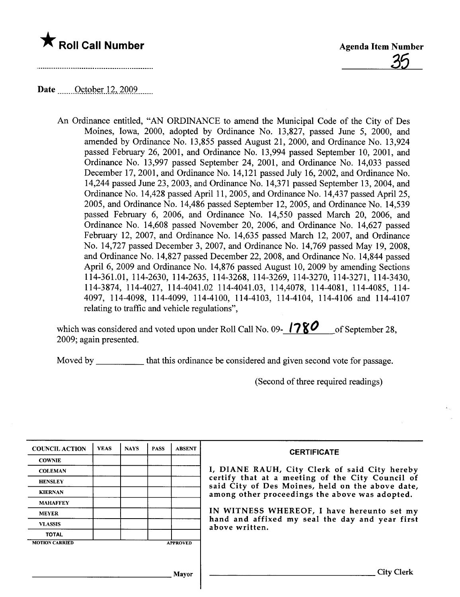

# Date  $\frac{\text{October }12,2009}{\text{October }12,2009}$

An Ordinance entitled, "AN ORDINANCE to amend the Municipal Code of the City of Des Moines, Iowa, 2000, adopted by Ordinance No. 13,827, passed June 5, 2000, and amended by Ordinance No. 13,855 passed August 21, 2000, and Ordinance No. 13,924 passed February 26, 2001, and Ordinance No. 13,994 passed September 10, 2001, and Ordinance No. 13,997 passed September 24, 2001, and Ordinance No. 14,033 passed December 17, 2001, and Ordinance No. 14,121 passed July 16, 2002, and Ordinance No. 14,244 passed June 23,2003, and Ordinance No. 14,371 passed September 13,2004, and Ordinance No. 14,428 passed April 11,2005, and Ordinance No. 14,437 passed April 25, 2005, and Ordinance No. 14,486 passed September 12,2005, and Ordinance No. 14,539 passed February 6, 2006, and Ordinance No. 14,550 passed March 20, 2006, and Ordinance No. 14,608 passed November 20, 2006, and Ordinance No. 14,627 passed February 12, 2007, and Ordinance No. 14,635 passed March 12, 2007, and Ordinance No. 14,727 passed December 3, 2007, and Ordinance No. 14,769 passed May 19, 2008, and Ordinance No. 14,827 passed December 22,2008, and Ordinance No. 14,844 passed April 6, 2009 and Ordinance No. 14,876 passed August 10, 2009 by amending Sections 114-361.01, 114-2630, 114-2635, 114-3268, 114-3269, 114-3270, 114-3271, 114-3430, 114-3874, 114-4027, 114-4041.02 114-4041.03, 114,4078, 114-4081, 114-4085, 114- 4097, 114-4098, 114-4099, 114-4100, 114-4103, 114-4104, 114-4106 and 114-4107 relating to traffic and vehicle regulations",

which was considered and voted upon under Roll Call No. 09- $\binom{1}{8}$  of September 28, 2009; again presented.

Moved by that this ordinance be considered and given second vote for passage.

(Second of three required readings)

| <b>COUNCIL ACTION</b> | <b>YEAS</b> | <b>NAYS</b> | <b>PASS</b> | <b>ABSENT</b>   | <b>CERTIFICATE</b>                                                                                   |
|-----------------------|-------------|-------------|-------------|-----------------|------------------------------------------------------------------------------------------------------|
| <b>COWNIE</b>         |             |             |             |                 |                                                                                                      |
| <b>COLEMAN</b>        |             |             |             |                 | I, DIANE RAUH, City Clerk of said City hereby                                                        |
| <b>HENSLEY</b>        |             |             |             |                 | certify that at a meeting of the City Council of<br>said City of Des Moines, held on the above date, |
| <b>KIERNAN</b>        |             |             |             |                 | among other proceedings the above was adopted.                                                       |
| <b>MAHAFFEY</b>       |             |             |             |                 |                                                                                                      |
| <b>MEYER</b>          |             |             |             |                 | IN WITNESS WHEREOF, I have hereunto set my                                                           |
| <b>VLASSIS</b>        |             |             |             |                 | hand and affixed my seal the day and year first<br>above written.                                    |
| <b>TOTAL</b>          |             |             |             |                 |                                                                                                      |
| <b>MOTION CARRIED</b> |             |             |             | <b>APPROVED</b> |                                                                                                      |
|                       |             |             |             |                 |                                                                                                      |
|                       |             |             |             | <b>Mayor</b>    | <b>City Clerk</b>                                                                                    |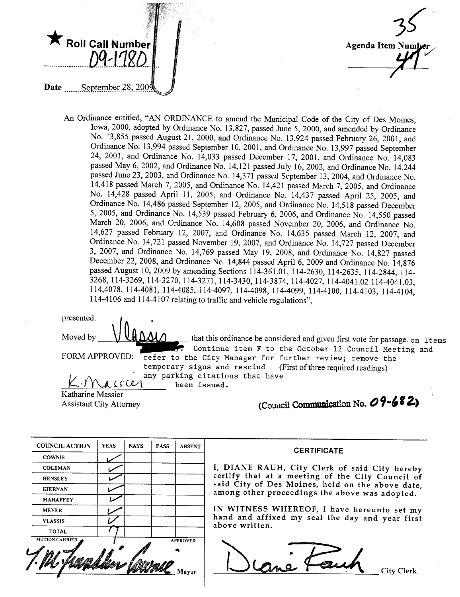

35 Agenda Item /

An Ordinance entitled, "AN ORDINANCE to amend the Municipal Code of the City of Des Moines, Iowa, 2000, adopted by Ordinance No. 13,827, passed June 5, 2000, and amended by Ordinance No. 13,855 passed August 21, 2000, and Ordinance No. 13,924 passed February 26, 2001, and Ordinance No. 13,994 passed September 10,2001, and Ordinance No. 13,997 passed September 24, 2001, and Ordinance No. 14,033 passed December 17, 2001, and Ordinance No. 14,083 passed May 6, 2002, and Ordinance No. 14,121 passed July 16,2002, and Ordinance No. 14,244 passed June 23, 2003, and Ordinance No. 14,371 passed September 13,2004, and Ordinance No. 14,418 passed March 7, 2005, and Ordinance No. 14,421 passed March 7, 2005, and Ordinance No. 14,428 passed April 11, 2005, and Ordinance No. 14,437 passed April 25, 2005, and Ordinance No. 14,486 passed September 12, 2005, and Ordinance No. 14,518 passed December 5, 2005, and Ordinance No. 14,539 passed February 6, 2006, and Ordinance No. 14,550 passed March 20, 2006, and Ordinance No. 14,608 passed November 20, 2006, and Ordinance No. 14,627 passed February 12, 2007, and Ordinance No. 14,635 passed March 12, 2007, and Ordinance No. 14,721 passed November 19,2007, and Ordinance No. 14,727 passed December 3, 2007, and Ordinance No. 14,769 passed May 19, 2008, and Ordinance No. 14,827 passed December 22, 2008, and Ordinance No. 14,844 passed April 6, 2009 and Ordinance No. 14,876 passed August 10,2009 by amending Sections 114-361.01, 114-2630, 114-2635, 114-2844, 114- 3268, 114-3269, 114-3270, 114-3271, 114-3430, 114-3874, 114-4027, 114-4041.02 114-4041.03, 114,4078, 114-4081, 114-4085, 114-4097, 114-4098, 114-4099, 114-4100, 114-4103, 114-4104, 114-4106 and 114-4107 relating to traffc and vehicle regulations",

| presented.                                                                                                                       |  |
|----------------------------------------------------------------------------------------------------------------------------------|--|
| Moved by<br>that this ordinance be considered and given first vote for passage. on Items                                         |  |
| Continue item F to the October 12 Council Meeting and<br>FORM APPROVED: refer to the City Manager for further review; remove the |  |
| temporary signs and rescind (First of three required readings)<br>any parking citations that have                                |  |
| been issued.                                                                                                                     |  |

Katharine Massier Assistant City Attorney (Coulcil Communication No. 1997)

| (Council Communication No. $09 - 682$ ) |  |  |  |  |  |  |  |  |
|-----------------------------------------|--|--|--|--|--|--|--|--|
|-----------------------------------------|--|--|--|--|--|--|--|--|

| <b>COUNCIL ACTION</b> | <b>YEAS</b> | <b>NAYS</b> | <b>PASS</b> | <b>ABSENT</b>   |
|-----------------------|-------------|-------------|-------------|-----------------|
| <b>COWNIE</b>         |             |             |             |                 |
| <b>COLEMAN</b>        |             |             |             |                 |
| <b>HENSLEY</b>        |             |             |             |                 |
| <b>KIERNAN</b>        |             |             |             |                 |
| <b>MAHAFFEY</b>       |             |             |             |                 |
| <b>MEYER</b>          |             |             |             |                 |
| <b>VLASSIS</b>        |             |             |             |                 |
| <b>TOTAL</b>          |             |             |             |                 |
| <b>MOTION CARRIED</b> |             |             |             | <b>APPROVED</b> |
|                       |             |             |             |                 |

**CERTIFICATE** 

I, DIANE RAUH, City Clerk of said City hereby certify that at a meeting of the City Council of said City of Des Moines, held on the above date, among other proceedings the above was adopted.

IN WITNESS WHEREOF, I have hereunto set my hand and affixed my seal the day and year first above written.

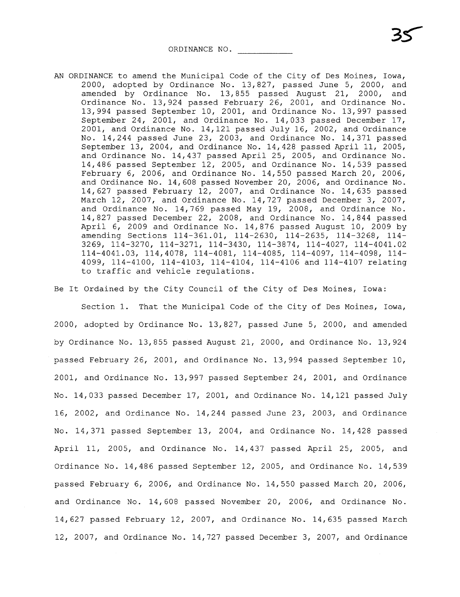ORDINANCE NO.

AN ORDINANCE to amend the Municipal Code of the City of Des Moines, Iowa, 2000, adopted by Ordinance No. 13,827, passed June 5, 2000, and amended by Ordinance No. 13,855 passed August 21, 2000, and Ordinance No. 13,924 passed February 26, 2001, and Ordinance No. 13,994 passed September 10, 2001, and Ordinance No. 13,997 passed September 24, 2001, and Ordinance No. 14,033 passed December 17, 2001, and Ordinance No. 14,121 passed July 16, 2002, and Ordinance No. 14,244 passed June 23, 2003, and Ordinance No. 14,371 passed September 13, 2004, and Ordinance No. 14,428 passed April 11, 2005, and Ordinance No. 14,437 passed April 25, 2005, and Ordinance No. 14,486 passed September 12, 2005, and Ordinance No. 14,539 passed February 6, 2006, and Ordinance No. 14,550 passed March 20, 2006, and Ordinance No. 14,608 passed November 20, 2006, and Ordinance No. 14,627 passed February 12, 2007, and Ordinance No. 14,635 passed March 12, 2007, and Ordinance No. 14,727 passed December 3, 2007, and Ordinance No. 14,769 passed May 19, 2008, and Ordinance No. 14,827 passed December 22, 2008, and Ordinance No. 14,844 passed April 6, 2009 and Ordinance No. 14,876 passed August 10, 2009 by amending Sections 114-361.01, 114-2630, 114-2635, 114-3268, 114-3269, 114-3270, 114-3271, 114-3430, 114-3874, 114-4027, 114-4041.02 114-4041.03,114,4078,114-4081,114-4085,114-4097, 114-4098, 114- 4099, 114-4100, 114-4103, 114-4104, 114-4106 and 114-4107 relating to traffic and vehicle regulations.

35

Be It Ordained by the City Council of the City of Des Moines, Iowa:

Section 1. That the Municipal Code of the City of Des Moines, Iowa, 2000, adopted by Ordinance No. 13,827, passed June 5, 2000, and amended by Ordinance No. 13,855 passed August 21, 2000, and Ordinance No. 13,924 passed February 26, 2001, and Ordinance No. 13,994 passed September 10, 2001, and Ordinance No. 13,997 passed September 24, 2001, and Ordinance No. 14,033 passed December 17, 2001, and Ordinance No. 14,121 passed July 16, 2002, and Ordinance No. 14,244 passed June 23, 2003, and Ordinance No. 14,371 passed September 13, 2004, and Ordinance No. 14,428 passed April 11, 2005, and Ordinance No. 14,437 passed April 25, 2005, and Ordinance No. 14,486 passed September 12, 2005, and Ordinance No. 14,539 passed February 6, 2006, and Ordinance No. 14,550 passed March 20, 2006, and Ordinance No. 14,608 passed November 20, 2006, and Ordinance No. 14,627 passed February 12, 2007, and Ordinance No. 14,635 passed March 12, 2007, and Ordinance No. 14,727 passed December 3, 2007, and Ordinance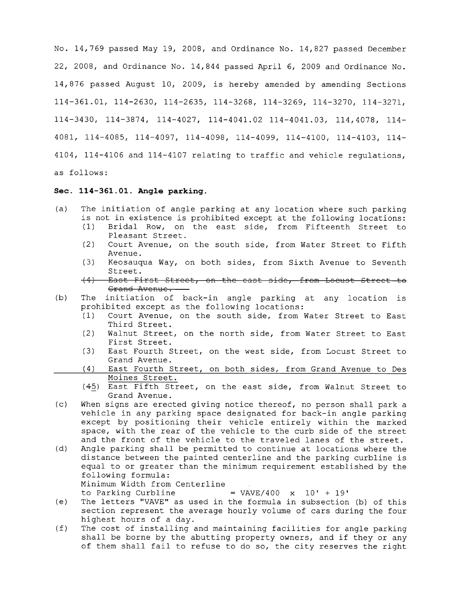No. 14,769 passed May 19, 2008, and Ordinance No. 14,827 passed December 22, 2008, and Ordinance No. 14,844 passed April 6, 2009 and Ordinance No. 14,876 passed August 10, 2009, is hereby amended by amending Sections 114-361.01, 114-2630, 114-2635, 114-3268, 114-3269, 114-3270, 114-3271, 114-3430,114-3874,114-4027,114-4041.02114-4041.03, 114,4078, 114- 4081, 114-4085, 114-4097, 114-4098, 114-4099, 114-4100, 114-4103, 114- 4104, 114-4106 and 114-4107 relating to traffic and vehicle regulations, as follows:

# Sec. 114-361.01. Angle parking.

- (a) The initiation of angle parking at any location where such parking is not in existence is prohibited except at the following locations:
	- (1) Bridal Row, on the east side, from Fifteenth Street to Pleasant Street.
	- Court Avenue, on the south side, from Water Street to Fifth Avenue.
	- (3) Keosauqua Way, on both sides, from Sixth Avenue to Seventh<br>Street.<br>(4) East First Street, on the east side, from Locust Street to
	- East First Street, on the east side, from Locust Street to Grand Avenue.
- (b) The initiation of back-in angle parking at any location is prohibited except as the following locations:
	- (1) Court Avenue, on the south side, from Water Street to East<br>Third Street.<br>(2) Walnut Street, on the north side, from Water Street to East
	- Walnut Street, on the north side, from Water Street to East First Street.
	- (3) East Fourth Street, on the west side, from Locust Street to Grand Avenue.
	- (4) East Fourth Street, on both sides, from Grand Avenue to Des Moines Street.
	- (45) East Fifth Street, on the east side, from Walnut Street to Grand Avenue.
- (c) When signs are erected giving notice thereof, no person shall park a vehicle in any parking space designated for back-in angle parking except by positioning their vehicle entirely within the marked space, with the rear of the vehicle to the curb side of the street and the front of the vehicle to the traveled lanes of the street.
- (d) Angle parking shall be permitted to continue at locations where the distance between the painted centerline and the parking curbline is equal to or greater than the minimum requirement established by the following formula: Minimum Width from Centerline
	- to Parking Curbline  $=$  VAVE/400  $\times$  10' + 19'
- (e) The letters "VAVE" as used in the formula in subsection (b) of this section represent the average hourly volume of cars during the four highest hours of a day.
- (f) The cost of installing and maintaining facilities for angle parking shall be borne by the abutting property owners, and if they or any of them shall fail to refuse to do so, the city reserves the right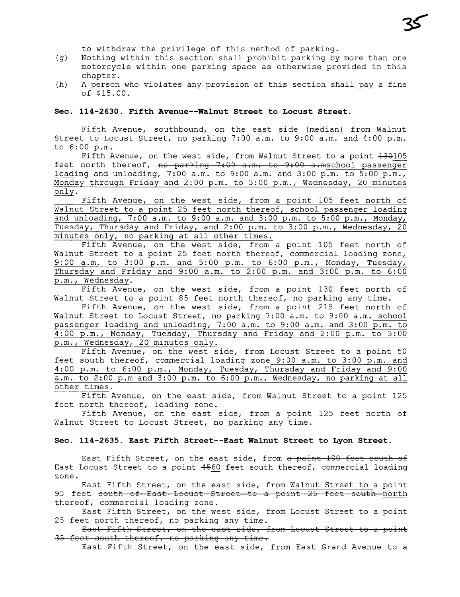to withdraw the privilege of this method of parking.

- (g) Nothing wi thin this section shall prohibit parking by more than one motorcycle within one parking space as otherwise provided in this chapter.
- (h) A person who violates any provision of this section shall pay a fine of \$15.00.

### Sec. 114-2630. Fifth Avenue--Walnut Street to Locust Street.

Fifth Avenue, southbound, on the east side (median) from Walnut Street to Locust Street, no parking 7:00 a.m. to 9:00 a.m. and 4:00 p.m. to 6:00 p.m.

Fifth Avenue, on the west side, from Walnut Street to a point  $+30105$ feet north thereof, no parking 7:00 a.m. to 9:00 a.mschool passenger loading and unloading,  $7:00$  a.m. to  $9:00$  a.m. and  $3:00$  p.m. to  $5:00$  p.m., Monday through Friday and 2:00 p.m. to 3:00 p.m., Wednesday, 20 minutes only.

Fifth Avenue, on the west side, from a point 105 feet north of Walnut Street to a point 25 feet north thereof, school passenger loading and unloading, 7:00 a.m. to 9:00 a.m. and 3:00 p.m. to 5:00 p.m., Monday, Tuesday, Thursday and Friday, and 2:00 p.m. to 3:00 p.m., Wednesday, 20 minutes only, no parking at all other times.

Fifth Avenue, on the west side, from a point 105 feet north of Walnut Street to a point 25 feet north thereof, commercial loading zone, 9:00 a.m. to 3:00 p.m. and 5:00 p.m. to 6:00 p.m., Monday, Tuesday, Thursday and Friday and 9:00 a.m. to 2:00 p.m. and 3:00 p.m. to 6:00 p.m., Wednesday.

Fifth Avenue, on the west side, from a point 130 feet north of Walnut Street to a point 85 feet north thereof, no parking any time.

Fifth Avenue, on the west side, from a point 215 feet north of Walnut Street to Locust Street, no parking 7:00 a.m. to 9:00 a.m. school passenger loading and unloading, 7:00 a.m. to 9:00 a.m. and 3:00 p.m. to 4:00 p.m., Monday, Tuesday, Thursday and Friday and 2:00 p.m. to 3:00 p.m., Wednesday, 20 minutes only.

Fifth Avenue, on the west side, from Locust Street to a point 50 feet south thereof, commercial loading zone 9:00 a.m. to 3:00 p.m. and 4:00 p.m. to 6:00 p.m., Monday, Tuesday, Thursday and Friday and 9:00 a.m. to 2:00 p.m and 3:00 p.m. to 6:00 p.m., Wednesday, no parking at all other times.

Fifth Avenue, on the east side, from Walnut Street to a point 125 feet north thereof, loading zone.

Fifth Avenue, on the east side, from a point 125 feet north of Walnut Street to Locust Street, no parking any time.

### Sec. 114-2635. East Fifth Street--East Walnut Street to Lyon Street.

East Fifth Street, on the east side, from a point 180 feet south of East Locust Street to a point  $4560$  feet south thereof, commercial loading zone.

East Fifth Street, on the east side, from Walnut Street to a point 95 feet south of East Locust Street to a point 25 feet south north thereof, commercial loading zone.

East Fifth Street, on the west side, from Locust Street to a point 25 feet north thereof, no parking any time.

East Fifth Street, on the east side, from Locust Street to a point 35 feet south thereof, no parking any time.

East Fifth Street, on the east side, from East Grand Avenue to a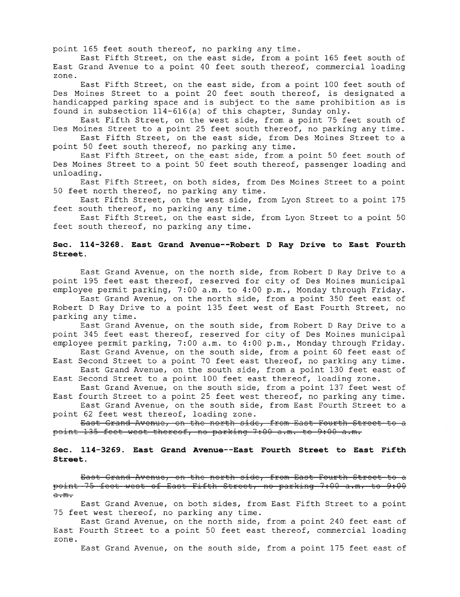point 165 feet south thereof, no parking any time.

East Fifth Street, on the east side, from a point 165 feet south of East Grand Avenue to a point 40 feet south thereof, commercial loading zone.

East Fifth Street, on the east side, from a point 100 feet south of Des Moines Street to a point 20 feet south thereof, is designated a handicapped parking space and is subject to the same prohibition as is found in subsection 114-616 (a) of this chapter, Sunday only.

East Fifth Street, on the west side, from a point 75 feet south of Des Moines Street to a point 25 feet south thereof, no parking any time.

East Fifth Street, on the east side, from Des Moines Street to a point 50 feet south thereof, no parking any time.

East Fifth Street, on the east side, from a point 50 feet south of Des Moines Street to a point 50 feet south thereof, passenger loading and unloading.

East Fifth Street, on both sides, from Des Moines Street to a point 50 feet north thereof, no parking any time.

East Fifth Street, on the west side, from Lyon Street to a point 175 feet south thereof, no parking any time.

East Fifth Street, on the east side, from Lyon Street to a point 50 feet south thereof, no parking any time.

## Sec. 114-3268. East Grand Avenue--Robert D Ray Drive to East Fourth Street.

East Grand Avenue, on the north side, from Robert D Ray Drive to a point 195 feet east thereof, reserved for city of Des Moines municipal employee permit parking, 7:00 a.m. to 4:00 p.m., Monday through Friday.

East Grand Avenue, on the north side, from a point 350 feet east of Robert D Ray Drive to a point 135 feet west of East Fourth Street, no parking any time.

East Grand Avenue, on the south side, from Robert D Ray Drive to a point 345 feet east thereof, reserved for city of Des Moines municipal employee permit parking, 7:00 a.m. to 4:00 p.m., Monday through Friday.

East Grand Avenue, on the south side, from a point 60 feet east of East Second Street to a point 70 feet east thereof, no parking any time. East Grand Avenue, on the south side, from a point 130 feet east of

East Second Street to a point 100 feet east thereof, loading zone.

East Grand Avenue, on the south side, from a point 137 feet west of East fourth Street to a point 25 feet west thereof, no parking any time. East Grand Avenue, on the south side, from East Fourth Street to a

point 62 feet west thereof, loading zone.

East Grand Avenue, on the north side, from East Fourth Street to a point 135 feet west thereof, no parking 7:00 a.m. to 9:00 a.m.

### Sec. 114-3269. East Grand Avenue--East Fourth Street to East Fifth Street.

East Grand Avenue, on the north side, from East Fourth Street to a point 75 feet west of East Fifth Street, no parking 7:00 a.m. to 9:00 a.m.

East Grand Avenue, on both sides, from East Fifth Street to a point 75 feet west thereof, no parking any time.

East Grand Avenue, on the north side, from a point 240 feet east of East Fourth Street to a point 50 feet east thereof, commercial loading zone.

East Grand Avenue, on the south side, from a point 175 feet east of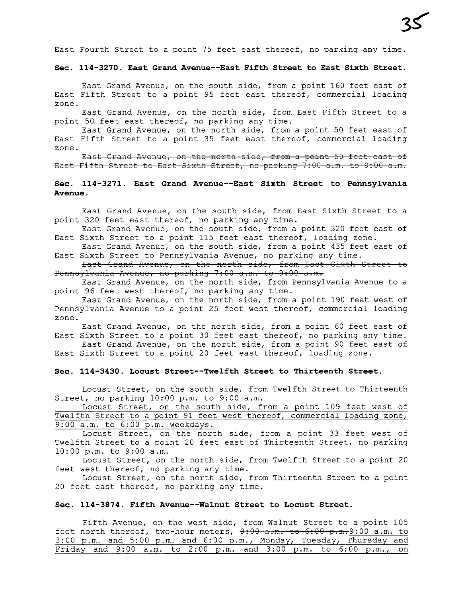East Fourth Street to a point 75 feet east thereof, no parking any time.

#### Sec. 114-3270. East Grand Avenue--East Fifth Street to East Sixth Street.

East Grand Avenue, on the south side, from a point 160 feet east of East Fifth Street to a point 95 feet east thereof, commercial loading zone.

East Grand Avenue, on the north side, from East Fifth Street to a point 50 feet east thereof, no parking any time.

East Grand Avenue, on the north side, from a point 50 feet east of East Fifth Street to a point 35 feet east thereof, commercial loading zone.

East Grand Avenue, on the north side, from a point 50 feet east of East Fifth Street to East Sixth Street, no parking 7:00 a.m. to 9:00 a.m.

### Sec. 114-3271. East Grand Avenue--East Sixth Street to Pennsylvania Avenue.

East Grand Avenue, on the south side, from East Sixth Street to a point 320 feet east thereof, no parking any time.

East Grand Avenue, on the south side, from a point 320 feet east of East Sixth Street to a point 115 feet east thereof, loading zone.

East Grand Avenue, on the south side, from a point 435 feet east of East Sixth Street to Pennsylvania Avenue, no parking any time.

East Grand Avenue, on the north side, from East Sixth Street to Pennsylvania Avenue, no parking 7:00 a.m. to 9:00 a.m.

East Grand Avenue, on the north side, from Pennsylvania Avenue to a point 96 feet west thereof, no parking any time.

East Grand Avenue, on the north side, from a point 190 feet west of Pennsyl vania Avenue to a point 25 feet west thereof, commercial loading zone.

East Grand Avenue, on the north side, from a point 60 feet east of East Sixth Street to a point 30 feet east thereof, no parking any time.

East Grand Avenue, on the north side, from a point 90 feet east of East Sixth Street to a point 20 feet east thereof, loading zone.

### Sec. 114-3430. Locust Street--Twelfth Street to Thirteenth Street.

Locust Street, on the south side, from Twelfth Street to Thirteenth Street, no parking 10:00 p.m. to 9:00 a.m.

Locust Street, on the south side, from a point 109 feet west of Twelfth Street to a point 91 feet west thereof, commercial loading zone, 9:00 a.m. to 6:00 p.m. weekdays.

Locust Street, on the north side, from a point 33 feet west of Twelfth Street to a point 20 feet east of Thirteenth Street, no parking 10:00 p.m. to 9:00 a.m.

Locust Street, on the north side, from Twelfth Street to a point 20 feet west thereof, no parking any time.

Locust Street, on the north side, from Thirteenth Street to a point 20 feet east thereof, no' parking any time.

### Sec. 114-3874. Fifth Avenue--Walnut Street to Locust Street.

Fifth Avenue, on the west side, from Walnut Street to a point 105 feet north thereof, two-hour meters,  $9:00$  a.m. to  $6:00$  p.m. 9:00 a.m. to 3:00 p.m. and 5:00 p.m. and 6:00 p.m., Monday, Tuesday, Thursday and Friday and 9:00 a.m. to 2:00 p.m. and 3:00 p.m. to 6:00 p.m., on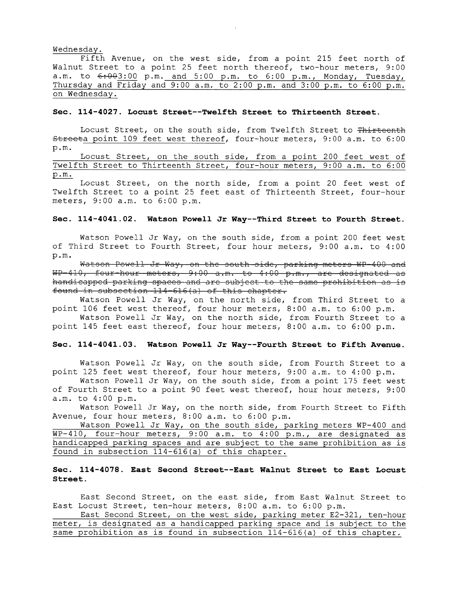#### Wednesday.

Fifth Avenue, on the west side, from a point 215 feet north of Walnut Street to a point 25 feet north thereof, two-hour meters, 9:00  $a.m.$  to  $6:003:00$  p.m. and  $5:00$  p.m. to  $6:00$  p.m., Monday, Tuesday, Thursday and Friday and  $9:00$  a.m. to  $2:00$  p.m. and  $3:00$  p.m. to  $6:00$  p.m. on Wednesday.

### Sec. 114-4027. Locust Street--Twelfth Street to Thirteenth Street.

Locust Street, on the south side, from Twelfth Street to Thirteenth Streeta point 109 feet west thereof, four-hour meters, 9:00 a.m. to 6:00 p.m.

Locust Street, on the south side, from a point 200 feet west of Twelfth Street to Thirteenth Street, four-hour meters, 9:00 a.m. to 6:00 p.m.

Locust Street, on the north side, from a point 20 feet west of Twelfth Street to a point 25 feet east of Thirteenth Street, four-hour meters, 9:00 a.m. to 6:00 p.m.

# Sec. 114-4041.02. Watson Powell Jr Way--Third Street to Fourth Street.

Watson Powell Jr Way, on the south side, from a point 200 feet west of Third Street to Fourth Street, four hour meters, 9:00 a.m. to 4:00 p.m.

Watson Powell Jr Way, on the south side, parking meters WP-400 and<br>WP-410, four hour meters, 9:00 a.m. to 4:00 p.m., are designated as handicapped parking spaces and are subject to the same prohibition as is found in subsection  $114 - 616$  (a) of this chapter.

Watson Powell Jr Way, on the north side, from Third Street to a point 106 feet west thereof, four hour meters, 8:00 a.m. to 6:00 p.m.

Watson Powell Jr Way, on the north side, from Fourth Street to a point 145 feet east thereof, four hour meters, 8: 00 a .m. to 6: 00 p.m.

#### Sec. 114-4041.03. Watson Powell Jr Way--Fourth Street to Fifth Avenue.

Watson Powell Jr Way, on the south side, from Fourth Street to a point 125 feet west thereof, four hour meters, 9:00 a.m. to 4:00 p.m.

Watson Powell Jr Way, on the south side, from a point 175 feet west of Fourth Street to a point 90 feet west thereof, hour hour meters, 9:00 a.m. to 4:00 p.m.

Watson Powell Jr Way, on the north side, from Fourth Street to Fifth Avenue, four hour meters, 8:00 a.m. to 6:00 p.m.

Watson Powell Jr Way, on the south side, parking meters WP-400 and WP-410, four-hour meters, 9:00 a.m. to 4:00 p.m., are designated as handicapped parking spaces and are subject to the same prohibition as is found in subsection 114-616 (a) of this chapter.

### Sec. 114-4078. East Second Street--East Walnut Street to East Locust Street.

East Second Street, on the east side, from East Walnut Street to East Locust Street, ten-hour meters, 8:00 a.m. to 6:00 p.m.

East Second Street, on the west side, parking meter E2-321, ten-hour meter, is designated as a handicapped parking space and is subject to the same prohibition as is found in subsection 114-616 (a) of this chapter.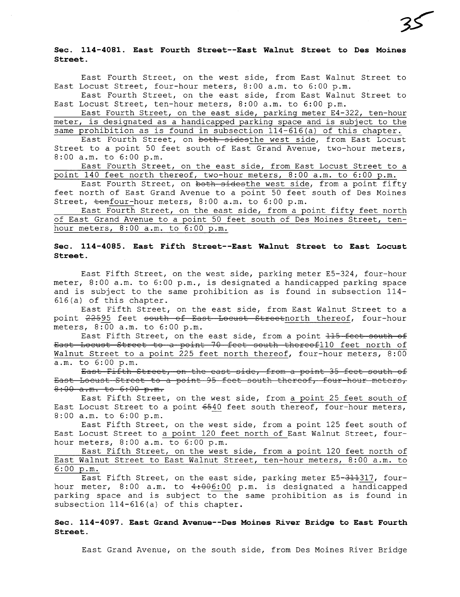### Sec. 114-4081. East Fourth Street--East Walnut Street to Des Moines Street.

East Fourth Street, on the west side, from East Walnut Street to East Locust Street, four-hour meters, 8:00 a.m. to 6:00 p.m.

East Fourth Street, on the east side, from East Walnut Street to East Locust Street, ten-hour meters, 8:00 a.m. to 6:00 p.m.

East Fourth Street, on the east side, parking meter E4-322, ten-hour meter, is designated as a handicapped parking space and is subject to the same prohibition as is found in subsection 114-616 (a) of this chapter.

East Fourth Street, on both sidesthe west side, from East Locust Street to a point 50 feet south of East Grand Avenue, two-hour meters, 8:00 a.m. to 6:00 p.m.

East Fourth Street, on the east side, from East Locust Street to a point 140 feet north thereof, two-hour meters, 8:00 a.m. to 6:00 p.m.

East Fourth Street, on both sidesthe west side, from a point fifty feet north of East Grand Avenue to a point 50 feet south of Des Moines Street,  $t$ enfour-hour meters, 8:00 a.m. to 6:00 p.m.

East Fourth Street, on the east side, from a point fifty feet north of East Grand Avenue to a point 50 feet south of Des Moines Street, tenhour meters, 8:00 a.m. to 6:00 p.m.

## Sec. 114-4085. East Fifth Street--East Walnut Street to East Locust Street.

East Fifth Street, on the west side, parking meter E5-324, four-hour meter, 8:00 a.m. to 6:00 p.m., is designated a handicapped parking space and is subject to the same prohibition as is found in subsection 114- 616(a) of this chapter.

East Fifth Street, on the east side, from East Walnut Street to a point  $22595$  feet south of East Locust Streetnorth thereof, four-hour meters, 8:00 a.m. to 6:00 p.m.

East Fifth Street, on the east side, from a point <del>115 feet south of</del><br>East Locust Street to a point 70 feet south thereof110 feet north of Walnut Street to a point 225 feet north thereof, four-hour meters, 8:00 a.m. to 6:00 p.m.

East Fifth Street, on the east side, from a point 35 feet south of East Locust Street to a point 95 feet south thereof, four hour meters,  $8:00 a.m. to 6:00 p.m.$ 

East Fifth Street, on the west side, from a point 25 feet south of East Locust Street to a point  $6540$  feet south thereof, four-hour meters, 8:00 a.m. to 6:00 p.m.

East Fifth Street, on the west side, from a point 125 feet south of East Locust Street to a point 120 feet north of East Walnut Street, fourhour meters, 8:00 a.m. to 6:00 p.m.

East Fifth Street, on the west side, from a point 120 feet north of East Walnut Street to East Walnut Street, ten-hour meters, 8: 00 a.m. to  $6:00 \text{ p.m.}$ 

East Fifth Street, on the east side, parking meter E5-311317, fourhour meter,  $8:00$  a.m. to  $4:006:00$  p.m. is designated a handicapped parking space and is subject to the same prohibition as is found in subsection 114-616 (a) of this chapter.

Sec. 114-4097. East Grand Avenue--Des Moines River Bridge to East Fourth Street.

East Grand Avenue, on the south side, from Des Moines River Bridge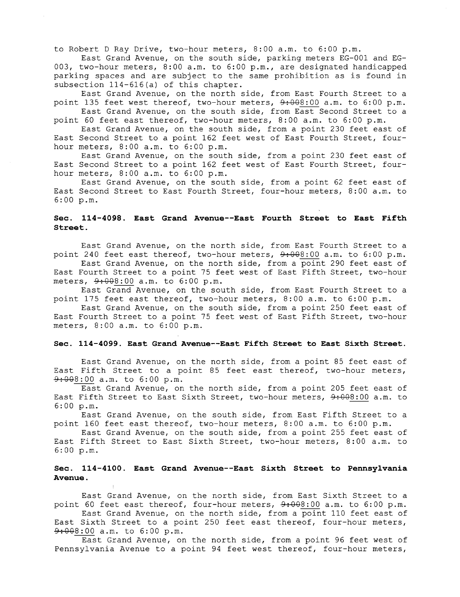to Robert D Ray Drive, two-hour meters, 8:00 a.m. to 6:00 p.m.

East Grand Avenue, on the south side, parking meters EG-001 and EG-003, two-hour meters, 8: 00 a .m. to 6: 00 p.m., are designated handicapped parking spaces and are subject to the same prohibition as is found in subsection 114-616 (a) of this chapter.

East Grand Avenue, on the north side, from East Fourth Street to a point 135 feet west thereof, two-hour meters,  $9:000$  a.m. to  $6:00$  p.m.

East Grand Avenue, on the south side, from East Second Street to a point 60 feet east thereof, two-hour meters, 8:00 a.m. to 6:00 p.m.

East Grand Avenue, on the south side, from a point 230 feet east of East Second Street to a point 162 feet west of East Fourth Street, fourhour meters, 8:00 a.m. to 6:00 p.m.

East Grand Avenue, on the south side, from a point 230 feet east of East Second Street to a point 162 feet west of East Fourth Street, fourhour meters, 8:00 a.m. to 6:00 p.m.

East Grand Avenue, on the south side, from a point 62 feet east of East Second Street to East Fourth Street, four-hour meters, 8: 00 a .m. to 6:00 p.m.

# Sec. 114-4098. East Grand Avenue--East Fourth Street to East Fifth Street.

East Grand Avenue, on the north side, from East Fourth Street to a point 240 feet east thereof, two-hour meters,  $9.00001$  a.m. to  $6.00$  p.m.

East Grand Avenue, on the north side, from a point 290 feet east of East Fourth Street to a point 75 feet west of East Fifth Street, two-hour meters,  $9:000$  a.m. to 6:00 p.m.

East Grand Avenue, on the south side, from East Fourth Street to a point 175 feet east thereof, two-hour meters, 8:00 a.m. to 6:00 p.m.

East Grand Avenue, on the south side, from a point 250 feet east of East Fourth Street to a point 75 feet west of East Fifth Street, two-hour meters, 8:00 a.m. to 6:00 p.m.

### Sec. 114-4099. East Grand Avenue--East Fifth Street to East Sixth Street.

East Grand Avenue, on the north side, from a point 85 feet east of East Fifth Street to a point 85 feet east thereof, two-hour meters,  $9:000$  a.m. to 6:00 p.m.

East Grand Avenue, on the north side, from a point 205 feet east of East Fifth Street to East Sixth Street, two-hour meters,  $9:000$  a.m. to 6:00 p.m.

East Grand Avenue, on the south side, from East Fifth Street to a point 160 feet east thereof, two-hour meters, 8: 00 a .m. to 6: 00 p.m.

East Grand Avenue, on the south side, from a point 255 feet east of East Fifth Street to East Sixth Street, two-hour meters, 8: 00 a .m. to 6: 00 p.m.

# Sec. 114-4100. East Grand Avenue--East Sixth Street to Pennsylvania Avenue.

East Grand Avenue, on the north side, from East Sixth Street to a point 60 feet east thereof, four-hour meters,  $9.00001$  a.m. to  $6.00$  p.m.

East Grand Avenue, on the north side, from a point 110 feet east of East Sixth Street to a point 250 feet east thereof, four-hour meters,  $9:000$  a.m. to 6:00 p.m.

East Grand Avenue, on the north side, from a point 96 feet west of Pennsylvania Avenue to a point 94 feet west thereof, four-hour meters,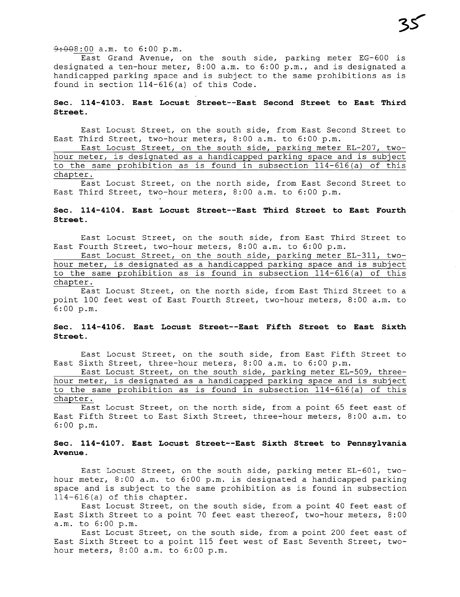### $9:008:00$  a.m. to 6:00 p.m.

East Grand Avenue, on the south side, parking meter EG-600 is designated a ten-hour meter, 8: 00 a .m. to 6: 00 p.m., and is designated a handicapped parking space and is subject to the same prohibitions as is found in section 114-616 (a) of this Code.

## Sec. 114-4103. East Locust Street--East Second Street to East Third Street.

East Locust Street, on the south side, from East Second Street to East Third Street, two-hour meters, 8:00 a.m. to 6:00 p.m.

East Locust Street, on the south side, parking meter EL-207, twohour meter, is designated as a handicapped parking space and is subject to the same prohibition as is found in subsection 114-616 (a) of this chapter.

East Locust Street, on the north side, from East Second Street to East Third Street, two-hour meters, 8:00 a.m. to 6:00 p.m.

# Sec. 114-4104. East Locust Street--East Third Street to East Fourth Street.

East Locust Street, on the south side, from East Third Street to East Fourth Street, two-hour meters, 8:00 a.m. to 6:00 p.m.

East Locust Street, on the south side, parking meter EL-311, twohour meter, is designated as a handicapped parking space and is subject to the same prohibition as is found in subsection 114-616 (a) of this chapter.

East Locust Street, on the north side, from East Third Street to a point 100 feet west of East Fourth Street, two-hour meters, 8: 00 a .m. to 6:00 p.m.

### Sec. 114-4106. East Locust Street--East Fifth Street to East Sixth Street.

East Locust Street, on the south side, from East Fifth Street to East Sixth Street, three-hour meters, 8:00 a.m. to 6:00 p.m.

East Locust Street, on the south side, parking meter EL-509, threehour meter, is designated as a handicapped parking space and is subject to the same prohibition as is found in subsection  $114-616(a)$  of this chapter.

East Locust Street, on the north side, from a point 65 feet east of East Fifth Street to East Sixth Street, three-hour meters, 8:00 a.m. to 6:00 p.m.

# Sec. 114-4107. East Locust Street--East Sixth Street to Pennsylvania Avenue.

East Locust Street, on the south side, parking meter EL-601, twohour meter, 8:00 a.m. to 6:00 p.m. is designated a handicapped parking space and is subject to the same prohibition as is found in subsection 114-616 (a) of this chapter.

East Locust Street, on the south side, from a point 40 feet east of East Sixth Street to a point 70 feet east thereof, two-hour meters, 8: 00 a.m. to 6:00 p.m.

East Locust Street, on the south side, from a point 200 feet east of East Sixth Street to a point 115 feet west of East Seventh Street, twohour meters, 8:00 a.m. to 6:00 p.m.